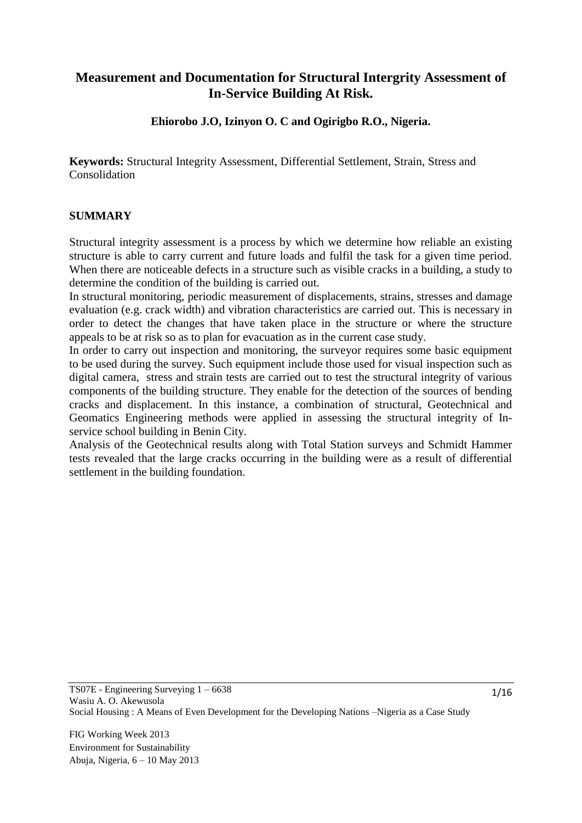## **Measurement and Documentation for Structural Intergrity Assessment of In-Service Building At Risk.**

**Ehiorobo J.O, Izinyon O. C and Ogirigbo R.O., Nigeria.**

**Keywords:** Structural Integrity Assessment, Differential Settlement, Strain, Stress and Consolidation

### **SUMMARY**

Structural integrity assessment is a process by which we determine how reliable an existing structure is able to carry current and future loads and fulfil the task for a given time period. When there are noticeable defects in a structure such as visible cracks in a building, a study to determine the condition of the building is carried out.

In structural monitoring, periodic measurement of displacements, strains, stresses and damage evaluation (e.g. crack width) and vibration characteristics are carried out. This is necessary in order to detect the changes that have taken place in the structure or where the structure appeals to be at risk so as to plan for evacuation as in the current case study.

In order to carry out inspection and monitoring, the surveyor requires some basic equipment to be used during the survey. Such equipment include those used for visual inspection such as digital camera, stress and strain tests are carried out to test the structural integrity of various components of the building structure. They enable for the detection of the sources of bending cracks and displacement. In this instance, a combination of structural, Geotechnical and Geomatics Engineering methods were applied in assessing the structural integrity of Inservice school building in Benin City.

Analysis of the Geotechnical results along with Total Station surveys and Schmidt Hammer tests revealed that the large cracks occurring in the building were as a result of differential settlement in the building foundation.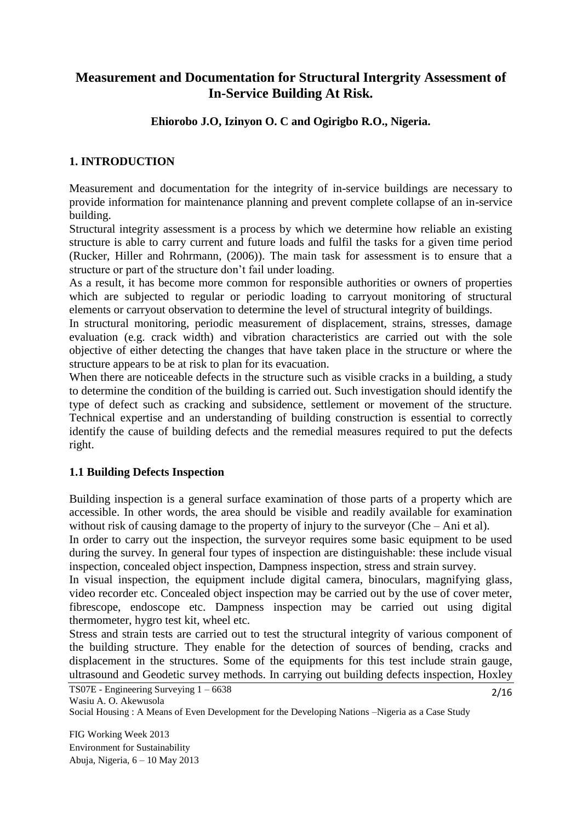# **Measurement and Documentation for Structural Intergrity Assessment of In-Service Building At Risk.**

**Ehiorobo J.O, Izinyon O. C and Ogirigbo R.O., Nigeria.**

## **1. INTRODUCTION**

Measurement and documentation for the integrity of in-service buildings are necessary to provide information for maintenance planning and prevent complete collapse of an in-service building.

Structural integrity assessment is a process by which we determine how reliable an existing structure is able to carry current and future loads and fulfil the tasks for a given time period (Rucker, Hiller and Rohrmann, (2006)). The main task for assessment is to ensure that a structure or part of the structure don't fail under loading.

As a result, it has become more common for responsible authorities or owners of properties which are subjected to regular or periodic loading to carryout monitoring of structural elements or carryout observation to determine the level of structural integrity of buildings.

In structural monitoring, periodic measurement of displacement, strains, stresses, damage evaluation (e.g. crack width) and vibration characteristics are carried out with the sole objective of either detecting the changes that have taken place in the structure or where the structure appears to be at risk to plan for its evacuation.

When there are noticeable defects in the structure such as visible cracks in a building, a study to determine the condition of the building is carried out. Such investigation should identify the type of defect such as cracking and subsidence, settlement or movement of the structure. Technical expertise and an understanding of building construction is essential to correctly identify the cause of building defects and the remedial measures required to put the defects right.

## **1.1 Building Defects Inspection**

Building inspection is a general surface examination of those parts of a property which are accessible. In other words, the area should be visible and readily available for examination without risk of causing damage to the property of injury to the surveyor (Che – Ani et al).

In order to carry out the inspection, the surveyor requires some basic equipment to be used during the survey. In general four types of inspection are distinguishable: these include visual inspection, concealed object inspection, Dampness inspection, stress and strain survey.

In visual inspection, the equipment include digital camera, binoculars, magnifying glass, video recorder etc. Concealed object inspection may be carried out by the use of cover meter, fibrescope, endoscope etc. Dampness inspection may be carried out using digital thermometer, hygro test kit, wheel etc.

Stress and strain tests are carried out to test the structural integrity of various component of the building structure. They enable for the detection of sources of bending, cracks and displacement in the structures. Some of the equipments for this test include strain gauge, ultrasound and Geodetic survey methods. In carrying out building defects inspection, Hoxley

TS07E - Engineering Surveying 1 – 6638 Wasiu A. O. Akewusola

Social Housing : A Means of Even Development for the Developing Nations –Nigeria as a Case Study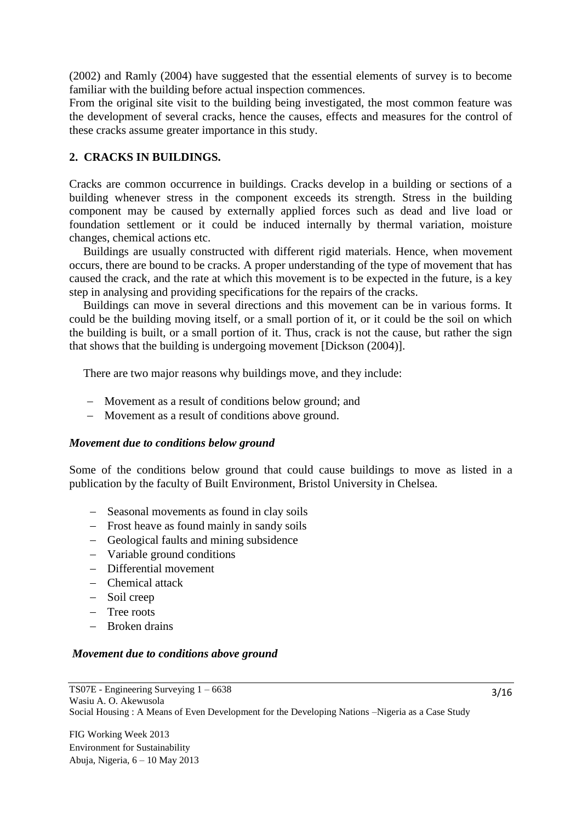(2002) and Ramly (2004) have suggested that the essential elements of survey is to become familiar with the building before actual inspection commences.

From the original site visit to the building being investigated, the most common feature was the development of several cracks, hence the causes, effects and measures for the control of these cracks assume greater importance in this study.

### **2. CRACKS IN BUILDINGS.**

Cracks are common occurrence in buildings. Cracks develop in a building or sections of a building whenever stress in the component exceeds its strength. Stress in the building component may be caused by externally applied forces such as dead and live load or foundation settlement or it could be induced internally by thermal variation, moisture changes, chemical actions etc.

Buildings are usually constructed with different rigid materials. Hence, when movement occurs, there are bound to be cracks. A proper understanding of the type of movement that has caused the crack, and the rate at which this movement is to be expected in the future, is a key step in analysing and providing specifications for the repairs of the cracks.

Buildings can move in several directions and this movement can be in various forms. It could be the building moving itself, or a small portion of it, or it could be the soil on which the building is built, or a small portion of it. Thus, crack is not the cause, but rather the sign that shows that the building is undergoing movement [Dickson (2004)].

There are two major reasons why buildings move, and they include:

- Movement as a result of conditions below ground; and
- Movement as a result of conditions above ground.

#### *Movement due to conditions below ground*

Some of the conditions below ground that could cause buildings to move as listed in a publication by the faculty of Built Environment, Bristol University in Chelsea.

- Seasonal movements as found in clay soils
- Frost heave as found mainly in sandy soils
- Geological faults and mining subsidence
- Variable ground conditions
- Differential movement
- Chemical attack
- Soil creep
- Tree roots
- Broken drains

#### *Movement due to conditions above ground*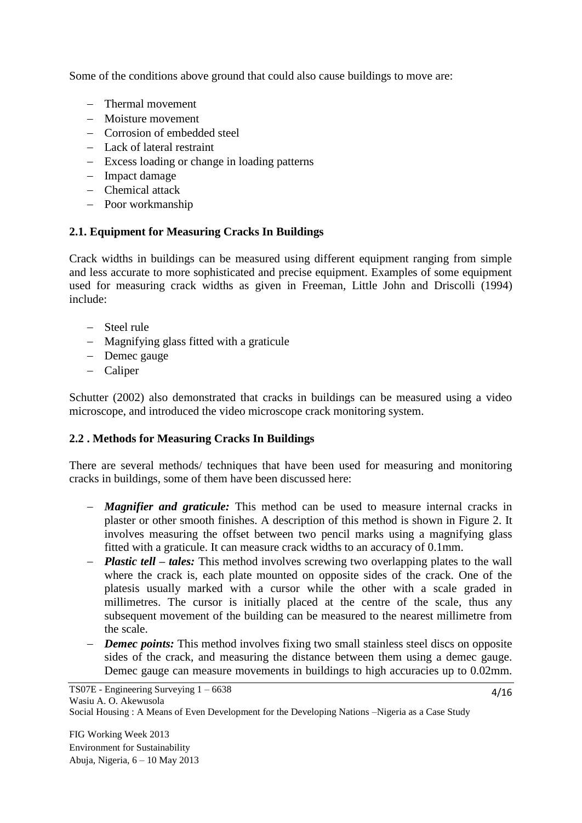Some of the conditions above ground that could also cause buildings to move are:

- Thermal movement
- Moisture movement
- Corrosion of embedded steel
- Lack of lateral restraint
- Excess loading or change in loading patterns
- Impact damage
- Chemical attack
- Poor workmanship

## **2.1. Equipment for Measuring Cracks In Buildings**

Crack widths in buildings can be measured using different equipment ranging from simple and less accurate to more sophisticated and precise equipment. Examples of some equipment used for measuring crack widths as given in Freeman, Little John and Driscolli (1994) include:

- Steel rule
- Magnifying glass fitted with a graticule
- Demec gauge
- Caliper

Schutter (2002) also demonstrated that cracks in buildings can be measured using a video microscope, and introduced the video microscope crack monitoring system.

## **2.2 . Methods for Measuring Cracks In Buildings**

There are several methods/ techniques that have been used for measuring and monitoring cracks in buildings, some of them have been discussed here:

- *Magnifier and graticule:* This method can be used to measure internal cracks in plaster or other smooth finishes. A description of this method is shown in Figure 2. It involves measuring the offset between two pencil marks using a magnifying glass fitted with a graticule. It can measure crack widths to an accuracy of 0.1mm.
- *Plastic tell – tales:* This method involves screwing two overlapping plates to the wall where the crack is, each plate mounted on opposite sides of the crack. One of the platesis usually marked with a cursor while the other with a scale graded in millimetres. The cursor is initially placed at the centre of the scale, thus any subsequent movement of the building can be measured to the nearest millimetre from the scale.
- *Demec points:* This method involves fixing two small stainless steel discs on opposite sides of the crack, and measuring the distance between them using a demec gauge. Demec gauge can measure movements in buildings to high accuracies up to 0.02mm.

Social Housing : A Means of Even Development for the Developing Nations –Nigeria as a Case Study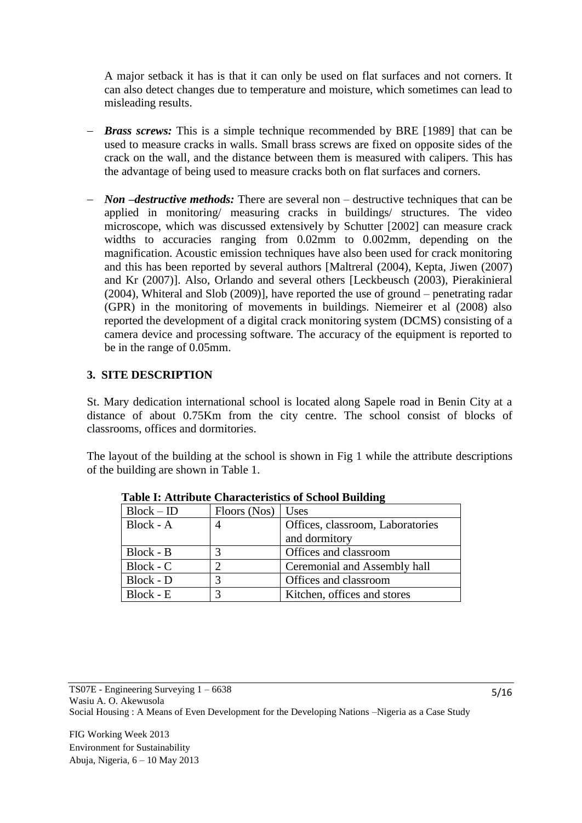A major setback it has is that it can only be used on flat surfaces and not corners. It can also detect changes due to temperature and moisture, which sometimes can lead to misleading results.

- *Brass screws:* This is a simple technique recommended by BRE [1989] that can be used to measure cracks in walls. Small brass screws are fixed on opposite sides of the crack on the wall, and the distance between them is measured with calipers. This has the advantage of being used to measure cracks both on flat surfaces and corners.
- *Non –destructive methods:* There are several non destructive techniques that can be applied in monitoring/ measuring cracks in buildings/ structures. The video microscope, which was discussed extensively by Schutter [2002] can measure crack widths to accuracies ranging from 0.02mm to 0.002mm, depending on the magnification. Acoustic emission techniques have also been used for crack monitoring and this has been reported by several authors [Maltreral (2004), Kepta, Jiwen (2007) and Kr (2007)]. Also, Orlando and several others [Leckbeusch (2003), Pierakinieral (2004), Whiteral and Slob (2009)], have reported the use of ground – penetrating radar (GPR) in the monitoring of movements in buildings. Niemeirer et al (2008) also reported the development of a digital crack monitoring system (DCMS) consisting of a camera device and processing software. The accuracy of the equipment is reported to be in the range of 0.05mm.

## **3. SITE DESCRIPTION**

St. Mary dedication international school is located along Sapele road in Benin City at a distance of about 0.75Km from the city centre. The school consist of blocks of classrooms, offices and dormitories.

The layout of the building at the school is shown in Fig 1 while the attribute descriptions of the building are shown in Table 1.

| $Block - ID$ | Floors (Nos) | Uses                             |
|--------------|--------------|----------------------------------|
| $Block - A$  |              | Offices, classroom, Laboratories |
|              |              | and dormitory                    |
| Block - B    |              | Offices and classroom            |
| Block - C    |              | Ceremonial and Assembly hall     |
| Block - D    |              | Offices and classroom            |
| Block - E    | 3            | Kitchen, offices and stores      |

 **Table I: Attribute Characteristics of School Building**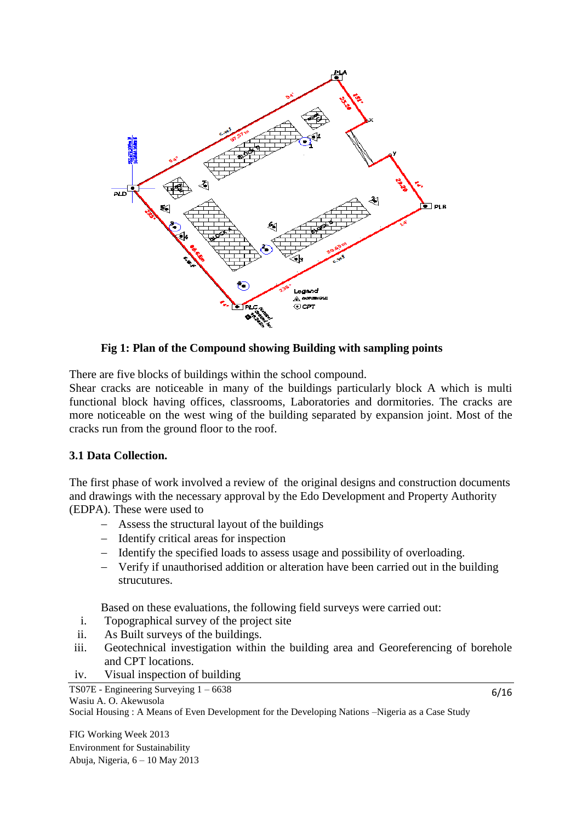

**Fig 1: Plan of the Compound showing Building with sampling points**

There are five blocks of buildings within the school compound.

Shear cracks are noticeable in many of the buildings particularly block A which is multi functional block having offices, classrooms, Laboratories and dormitories. The cracks are more noticeable on the west wing of the building separated by expansion joint. Most of the cracks run from the ground floor to the roof.

## **3.1 Data Collection.**

The first phase of work involved a review of the original designs and construction documents and drawings with the necessary approval by the Edo Development and Property Authority (EDPA). These were used to

- Assess the structural layout of the buildings
- Identify critical areas for inspection
- Identify the specified loads to assess usage and possibility of overloading.
- Verify if unauthorised addition or alteration have been carried out in the building strucutures.

Based on these evaluations, the following field surveys were carried out:

- i. Topographical survey of the project site
- ii. As Built surveys of the buildings.
- iii. Geotechnical investigation within the building area and Georeferencing of borehole and CPT locations.
- iv. Visual inspection of building

TS07E - Engineering Surveying 1 – 6638

```
Wasiu A. O. Akewusola
```
Social Housing : A Means of Even Development for the Developing Nations –Nigeria as a Case Study

FIG Working Week 2013 Environment for Sustainability Abuja, Nigeria, 6 – 10 May 2013 6/16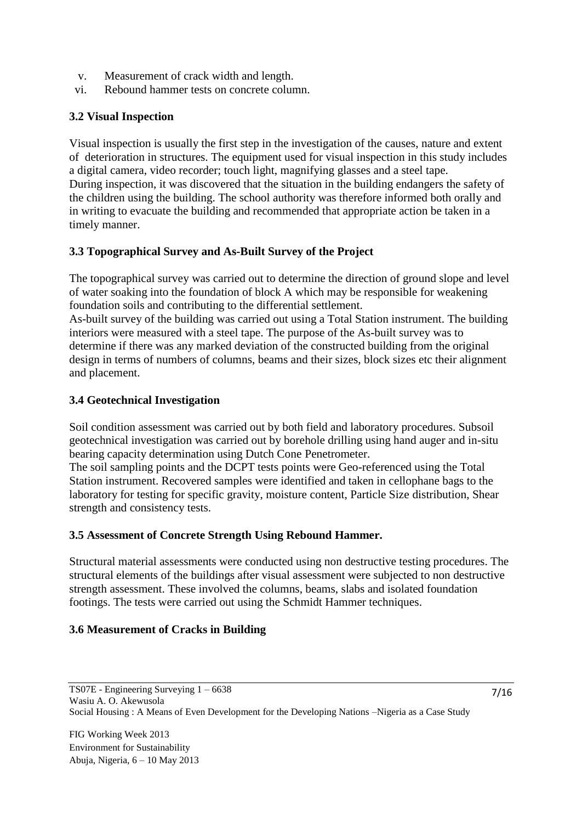- v. Measurement of crack width and length.
- vi. Rebound hammer tests on concrete column.

## **3.2 Visual Inspection**

Visual inspection is usually the first step in the investigation of the causes, nature and extent of deterioration in structures. The equipment used for visual inspection in this study includes a digital camera, video recorder; touch light, magnifying glasses and a steel tape. During inspection, it was discovered that the situation in the building endangers the safety of the children using the building. The school authority was therefore informed both orally and in writing to evacuate the building and recommended that appropriate action be taken in a timely manner.

## **3.3 Topographical Survey and As-Built Survey of the Project**

The topographical survey was carried out to determine the direction of ground slope and level of water soaking into the foundation of block A which may be responsible for weakening foundation soils and contributing to the differential settlement.

As-built survey of the building was carried out using a Total Station instrument. The building interiors were measured with a steel tape. The purpose of the As-built survey was to determine if there was any marked deviation of the constructed building from the original design in terms of numbers of columns, beams and their sizes, block sizes etc their alignment and placement.

### **3.4 Geotechnical Investigation**

Soil condition assessment was carried out by both field and laboratory procedures. Subsoil geotechnical investigation was carried out by borehole drilling using hand auger and in-situ bearing capacity determination using Dutch Cone Penetrometer.

The soil sampling points and the DCPT tests points were Geo-referenced using the Total Station instrument. Recovered samples were identified and taken in cellophane bags to the laboratory for testing for specific gravity, moisture content, Particle Size distribution, Shear strength and consistency tests.

#### **3.5 Assessment of Concrete Strength Using Rebound Hammer.**

Structural material assessments were conducted using non destructive testing procedures. The structural elements of the buildings after visual assessment were subjected to non destructive strength assessment. These involved the columns, beams, slabs and isolated foundation footings. The tests were carried out using the Schmidt Hammer techniques.

#### **3.6 Measurement of Cracks in Building**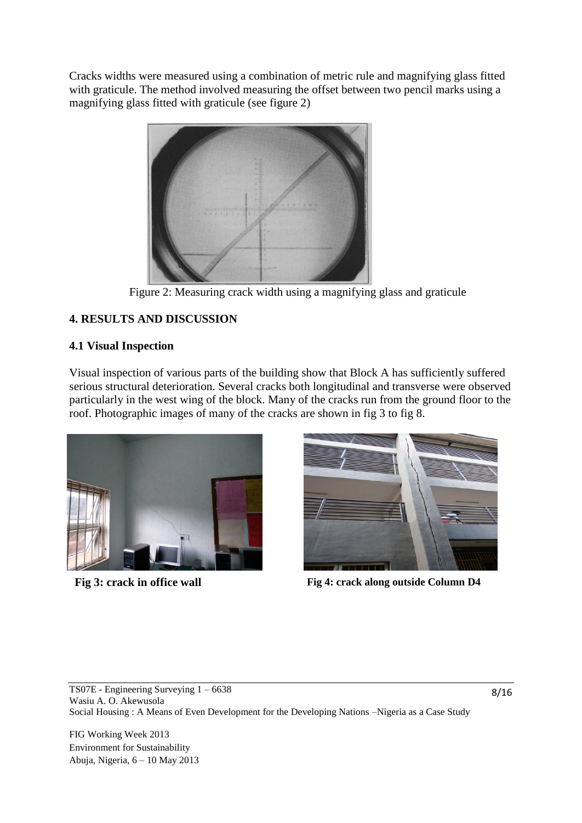Cracks widths were measured using a combination of metric rule and magnifying glass fitted with graticule. The method involved measuring the offset between two pencil marks using a magnifying glass fitted with graticule (see figure 2)



Figure 2: Measuring crack width using a magnifying glass and graticule

# **4. RESULTS AND DISCUSSION**

## **4.1 Visual Inspection**

Visual inspection of various parts of the building show that Block A has sufficiently suffered serious structural deterioration. Several cracks both longitudinal and transverse were observed particularly in the west wing of the block. Many of the cracks run from the ground floor to the roof. Photographic images of many of the cracks are shown in fig 3 to fig 8.





**Fig 3: crack in office wall Fig 4: crack along outside Column D4**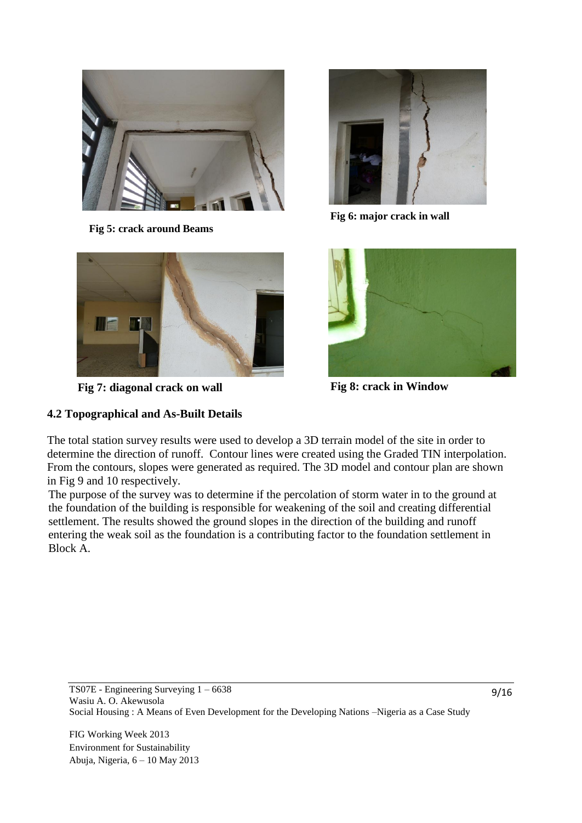

**Fig 5: crack around Beams**



**Fig 7: diagonal crack on wall Fig 8: crack in Window**

## **4.2 Topographical and As-Built Details**



**Fig 6: major crack in wall**



The total station survey results were used to develop a 3D terrain model of the site in order to determine the direction of runoff. Contour lines were created using the Graded TIN interpolation. From the contours, slopes were generated as required. The 3D model and contour plan are shown in Fig 9 and 10 respectively.

The purpose of the survey was to determine if the percolation of storm water in to the ground at the foundation of the building is responsible for weakening of the soil and creating differential settlement. The results showed the ground slopes in the direction of the building and runoff entering the weak soil as the foundation is a contributing factor to the foundation settlement in Block A.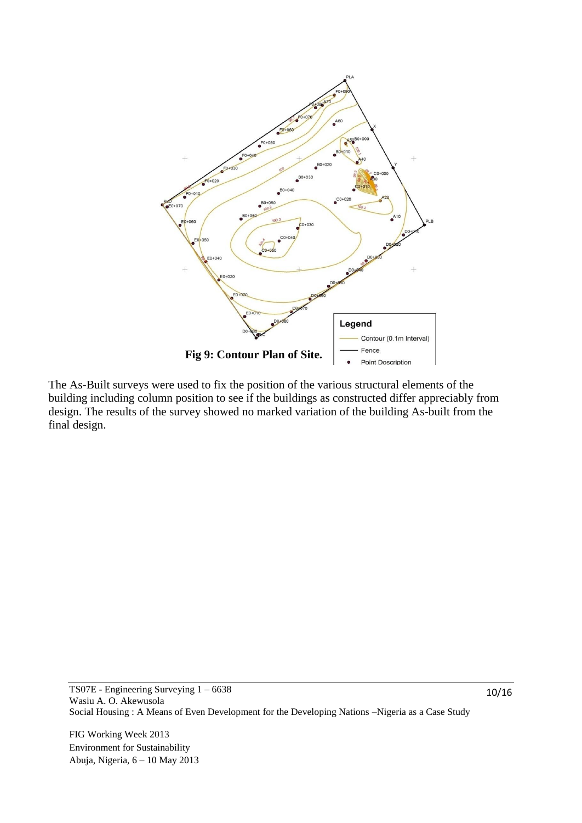

The As-Built surveys were used to fix the position of the various structural elements of the building including column position to see if the buildings as constructed differ appreciably from design. The results of the survey showed no marked variation of the building As-built from the final design.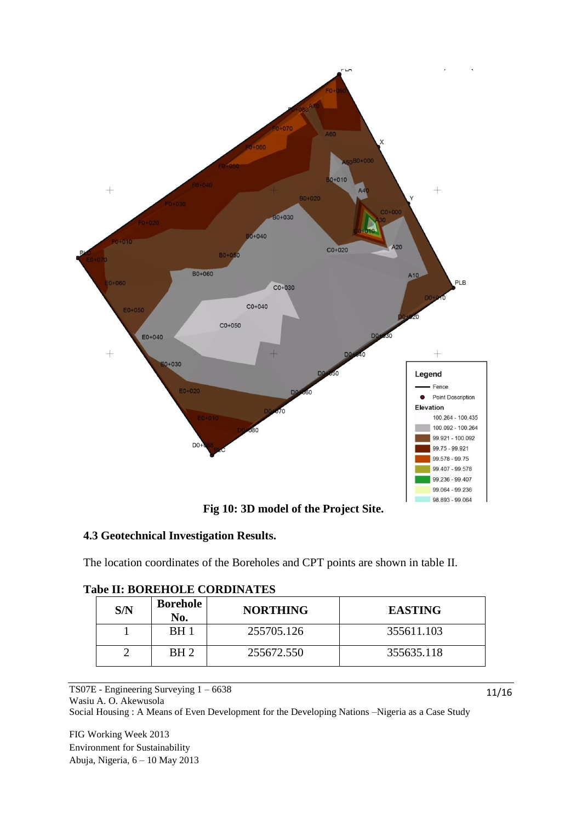

**Fig 10: 3D model of the Project Site.**

## **4.3 Geotechnical Investigation Results.**

The location coordinates of the Boreholes and CPT points are shown in table II.

| S/N | <b>Borehole</b><br>No. | <b>NORTHING</b> | <b>EASTING</b> |
|-----|------------------------|-----------------|----------------|
|     | BH 1                   | 255705.126      | 355611.103     |
|     | BH 2                   | 255672.550      | 355635.118     |

## **Tabe II: BOREHOLE CORDINATES**

TS07E - Engineering Surveying 1 – 6638 Wasiu A. O. Akewusola Social Housing : A Means of Even Development for the Developing Nations –Nigeria as a Case Study

FIG Working Week 2013 Environment for Sustainability Abuja, Nigeria, 6 – 10 May 2013 11/16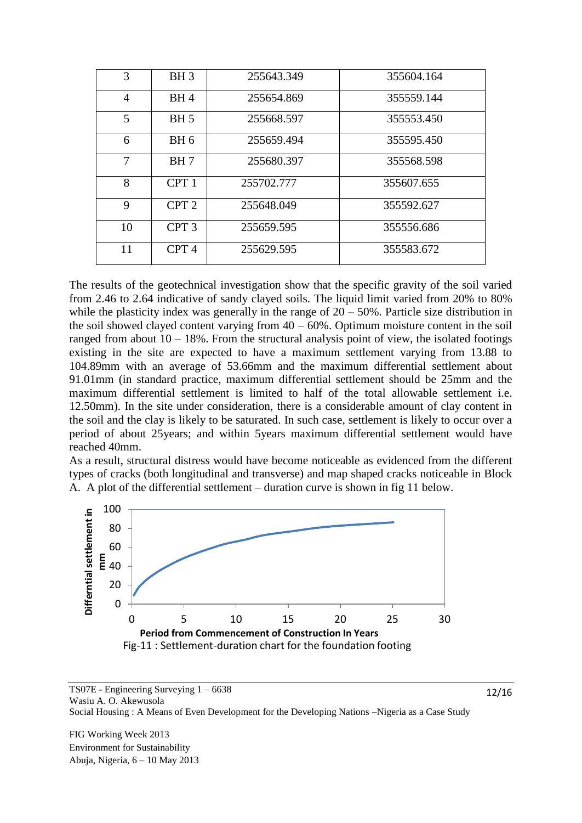| 3              | BH <sub>3</sub>  | 255643.349 | 355604.164 |
|----------------|------------------|------------|------------|
| $\overline{4}$ | BH <sub>4</sub>  | 255654.869 | 355559.144 |
| 5              | <b>BH</b> 5      | 255668.597 | 355553.450 |
| 6              | BH <sub>6</sub>  | 255659.494 | 355595.450 |
| 7              | BH <sub>7</sub>  | 255680.397 | 355568.598 |
| 8              | CPT <sub>1</sub> | 255702.777 | 355607.655 |
| 9              | CPT <sub>2</sub> | 255648.049 | 355592.627 |
| 10             | CPT <sub>3</sub> | 255659.595 | 355556.686 |
| 11             | CPT <sub>4</sub> | 255629.595 | 355583.672 |

The results of the geotechnical investigation show that the specific gravity of the soil varied from 2.46 to 2.64 indicative of sandy clayed soils. The liquid limit varied from 20% to 80% while the plasticity index was generally in the range of  $20 - 50\%$ . Particle size distribution in the soil showed clayed content varying from  $40 - 60\%$ . Optimum moisture content in the soil ranged from about  $10 - 18\%$ . From the structural analysis point of view, the isolated footings existing in the site are expected to have a maximum settlement varying from 13.88 to 104.89mm with an average of 53.66mm and the maximum differential settlement about 91.01mm (in standard practice, maximum differential settlement should be 25mm and the maximum differential settlement is limited to half of the total allowable settlement i.e. 12.50mm). In the site under consideration, there is a considerable amount of clay content in the soil and the clay is likely to be saturated. In such case, settlement is likely to occur over a period of about 25years; and within 5years maximum differential settlement would have reached 40mm.

As a result, structural distress would have become noticeable as evidenced from the different types of cracks (both longitudinal and transverse) and map shaped cracks noticeable in Block A. A plot of the differential settlement – duration curve is shown in fig 11 below.



TS07E - Engineering Surveying 1 – 6638 Wasiu A. O. Akewusola Social Housing : A Means of Even Development for the Developing Nations –Nigeria as a Case Study

12/16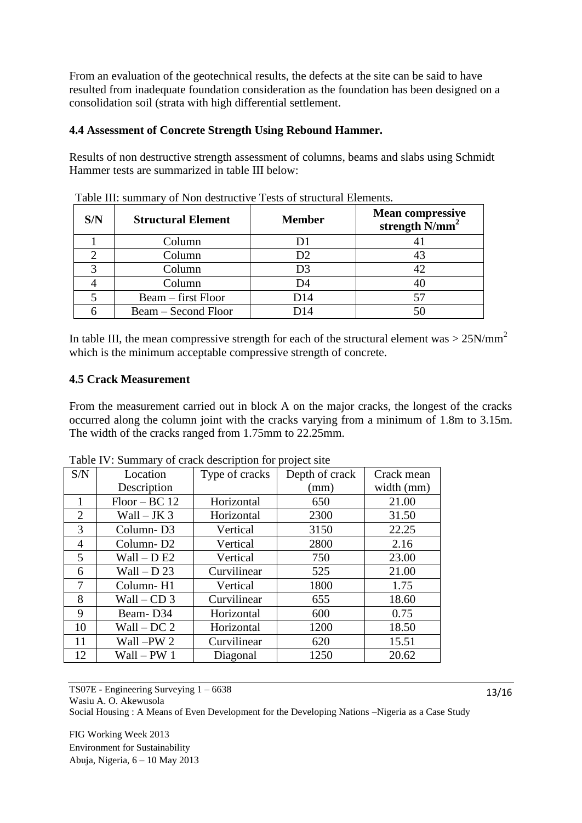From an evaluation of the geotechnical results, the defects at the site can be said to have resulted from inadequate foundation consideration as the foundation has been designed on a consolidation soil (strata with high differential settlement.

### **4.4 Assessment of Concrete Strength Using Rebound Hammer.**

Results of non destructive strength assessment of columns, beams and slabs using Schmidt Hammer tests are summarized in table III below:

| S/N | <b>Structural Element</b> | <b>Member</b> | <b>Mean compressive</b><br>strength $\bar{N}/mm^2$ |
|-----|---------------------------|---------------|----------------------------------------------------|
|     | Column                    |               |                                                    |
|     | Column                    | D2            | 43                                                 |
|     | Column                    | D3            | 42                                                 |
|     | Column                    | D4            |                                                    |
|     | Beam – first Floor        | D14           |                                                    |
|     | Beam – Second Floor       |               |                                                    |

Table III: summary of Non destructive Tests of structural Elements.

In table III, the mean compressive strength for each of the structural element was  $> 25$ N/mm<sup>2</sup> which is the minimum acceptable compressive strength of concrete.

### **4.5 Crack Measurement**

From the measurement carried out in block A on the major cracks, the longest of the cracks occurred along the column joint with the cracks varying from a minimum of 1.8m to 3.15m. The width of the cracks ranged from 1.75mm to 22.25mm.

| S/N            | Location              | Type of cracks | Depth of crack | Crack mean |
|----------------|-----------------------|----------------|----------------|------------|
|                | Description           |                | (mm)           | width (mm) |
| 1              | $Floor - BC 12$       | Horizontal     | 650            | 21.00      |
| 2              | Wall $-$ JK 3         | Horizontal     | 2300           | 31.50      |
| 3              | Column-D <sub>3</sub> | Vertical       | 3150           | 22.25      |
| $\overline{4}$ | Column-D <sub>2</sub> | Vertical       | 2800           | 2.16       |
| 5              | $Wall - D E2$         | Vertical       | 750            | 23.00      |
| 6              | Wall $-$ D 23         | Curvilinear    | 525            | 21.00      |
| 7              | Column-H1             | Vertical       | 1800           | 1.75       |
| 8              | $Wall - CD 3$         | Curvilinear    | 655            | 18.60      |
| 9              | Beam-D <sub>34</sub>  | Horizontal     | 600            | 0.75       |
| 10             | $Wall-DC2$            | Horizontal     | 1200           | 18.50      |
| 11             | Wall-PW 2             | Curvilinear    | 620            | 15.51      |
| 12             | Wall – PW 1           | Diagonal       | 1250           | 20.62      |

Table IV: Summary of crack description for project site

TS07E - Engineering Surveying 1 – 6638 Wasiu A. O. Akewusola Social Housing : A Means of Even Development for the Developing Nations –Nigeria as a Case Study

FIG Working Week 2013 Environment for Sustainability Abuja, Nigeria, 6 – 10 May 2013 13/16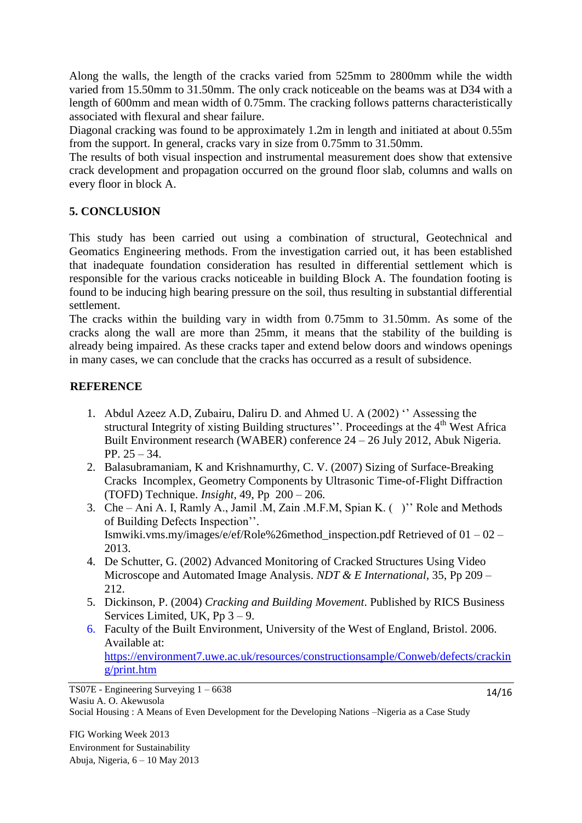Along the walls, the length of the cracks varied from 525mm to 2800mm while the width varied from 15.50mm to 31.50mm. The only crack noticeable on the beams was at D34 with a length of 600mm and mean width of 0.75mm. The cracking follows patterns characteristically associated with flexural and shear failure.

Diagonal cracking was found to be approximately 1.2m in length and initiated at about 0.55m from the support. In general, cracks vary in size from 0.75mm to 31.50mm.

The results of both visual inspection and instrumental measurement does show that extensive crack development and propagation occurred on the ground floor slab, columns and walls on every floor in block A.

## **5. CONCLUSION**

This study has been carried out using a combination of structural, Geotechnical and Geomatics Engineering methods. From the investigation carried out, it has been established that inadequate foundation consideration has resulted in differential settlement which is responsible for the various cracks noticeable in building Block A. The foundation footing is found to be inducing high bearing pressure on the soil, thus resulting in substantial differential settlement.

The cracks within the building vary in width from 0.75mm to 31.50mm. As some of the cracks along the wall are more than 25mm, it means that the stability of the building is already being impaired. As these cracks taper and extend below doors and windows openings in many cases, we can conclude that the cracks has occurred as a result of subsidence.

## **REFERENCE**

- 1. Abdul Azeez A.D, Zubairu, Daliru D. and Ahmed U. A (2002) '' Assessing the structural Integrity of xisting Building structures''. Proceedings at the 4<sup>th</sup> West Africa Built Environment research (WABER) conference 24 – 26 July 2012, Abuk Nigeria. PP. 25 – 34.
- 2. Balasubramaniam, K and Krishnamurthy, C. V. (2007) Sizing of Surface-Breaking Cracks Incomplex, Geometry Components by Ultrasonic Time-of-Flight Diffraction (TOFD) Technique. *Insight,* 49, Pp 200 – 206.
- 3. Che Ani A. I, Ramly A., Jamil .M, Zain .M.F.M, Spian K. ( )'' Role and Methods of Building Defects Inspection''. Ismwiki.vms.my/images/e/ef/Role%26method\_inspection.pdf Retrieved of 01 – 02 – 2013.
- 4. De Schutter, G. (2002) Advanced Monitoring of Cracked Structures Using Video Microscope and Automated Image Analysis. *NDT & E International,* 35, Pp 209 – 212.
- 5. Dickinson, P. (2004) *Cracking and Building Movement*. Published by RICS Business Services Limited, UK, Pp 3 – 9.
- 6. Faculty of the Built Environment, University of the West of England, Bristol. 2006. Available at: [https://environment7.uwe.ac.uk/resources/constructionsample/Conweb/defects/crackin](https://environment7.uwe.ac.uk/resources/constructionsample/Conweb/defects/cracking/print.htm) [g/print.htm](https://environment7.uwe.ac.uk/resources/constructionsample/Conweb/defects/cracking/print.htm)

TS07E - Engineering Surveying 1 – 6638 Wasiu A. O. Akewusola

14/16

Social Housing : A Means of Even Development for the Developing Nations –Nigeria as a Case Study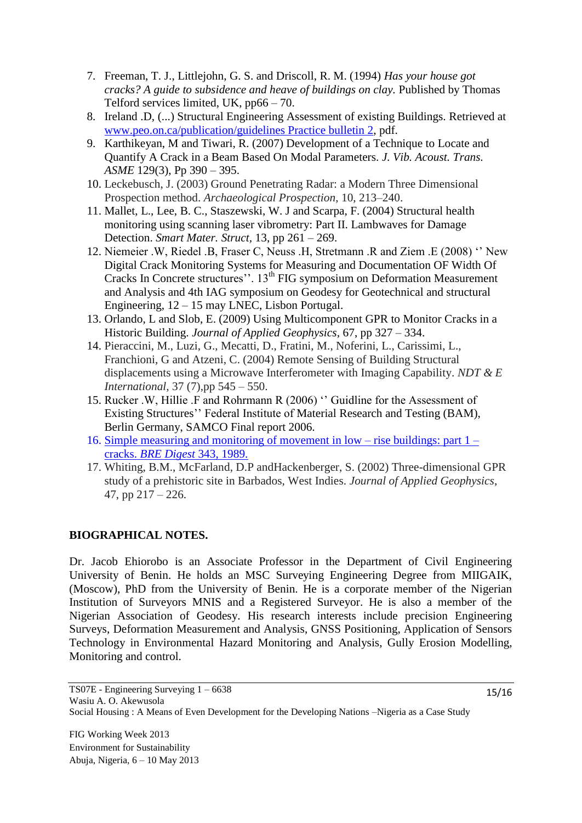- 7. Freeman, T. J., Littlejohn, G. S. and Driscoll, R. M. (1994) *Has your house got cracks? A guide to subsidence and heave of buildings on clay.* Published by Thomas Telford services limited, UK, pp66 – 70.
- 8. Ireland .D, (...) Structural Engineering Assessment of existing Buildings. Retrieved at [www.peo.on.ca/publication/guidelines Practice bulletin 2,](http://www.peo.on.ca/publication/guidelines%20Practice%20bulletin%202) pdf.
- 9. Karthikeyan, M and Tiwari, R. (2007) Development of a Technique to Locate and Quantify A Crack in a Beam Based On Modal Parameters. *J. Vib. Acoust. Trans. ASME* 129(3), Pp 390 – 395.
- 10. Leckebusch, J. (2003) Ground Penetrating Radar: a Modern Three Dimensional Prospection method. *Archaeological Prospection*, 10, 213–240.
- 11. Mallet, L., Lee, B. C., Staszewski, W. J and Scarpa, F. (2004) Structural health monitoring using scanning laser vibrometry: Part II. Lambwaves for Damage Detection. *Smart Mater. Struct,* 13, pp 261 – 269.
- 12. Niemeier .W, Riedel .B, Fraser C, Neuss .H, Stretmann .R and Ziem .E (2008) '' New Digital Crack Monitoring Systems for Measuring and Documentation OF Width Of Cracks In Concrete structures''. 13<sup>th</sup> FIG symposium on Deformation Measurement and Analysis and 4th IAG symposium on Geodesy for Geotechnical and structural Engineering, 12 – 15 may LNEC, Lisbon Portugal.
- 13. Orlando, L and Slob, E. (2009) Using Multicomponent GPR to Monitor Cracks in a Historic Building. *Journal of Applied Geophysics,* 67, pp 327 – 334.
- 14. Pieraccini, M., Luzi, G., Mecatti, D., Fratini, M., Noferini, L., Carissimi, L., Franchioni, G and Atzeni, C. (2004) Remote Sensing of Building Structural displacements using a Microwave Interferometer with Imaging Capability. *NDT & E International,* 37 (7),pp 545 – 550.
- 15. Rucker .W, Hillie .F and Rohrmann R (2006) '' Guidline for the Assessment of Existing Structures'' Federal Institute of Material Research and Testing (BAM), Berlin Germany, SAMCO Final report 2006.
- 16. Simple measuring and monitoring of movement in low rise buildings: part 1 cracks. *BRE Digest* 343, 1989.
- 17. Whiting, B.M., McFarland, D.P andHackenberger, S. (2002) Three-dimensional GPR study of a prehistoric site in Barbados, West Indies. *Journal of Applied Geophysics*, 47, pp 217 – 226.

## **BIOGRAPHICAL NOTES.**

Dr. Jacob Ehiorobo is an Associate Professor in the Department of Civil Engineering University of Benin. He holds an MSC Surveying Engineering Degree from MIIGAIK, (Moscow), PhD from the University of Benin. He is a corporate member of the Nigerian Institution of Surveyors MNIS and a Registered Surveyor. He is also a member of the Nigerian Association of Geodesy. His research interests include precision Engineering Surveys, Deformation Measurement and Analysis, GNSS Positioning, Application of Sensors Technology in Environmental Hazard Monitoring and Analysis, Gully Erosion Modelling, Monitoring and control.